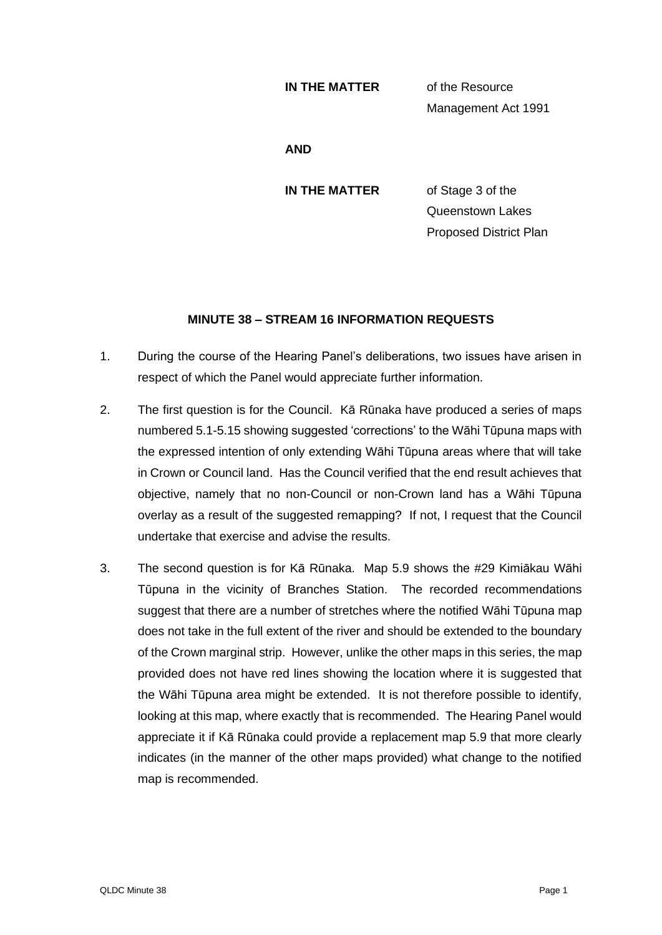## **IN THE MATTER** of the Resource

Management Act 1991

**AND**

**IN THE MATTER** of Stage 3 of the Queenstown Lakes Proposed District Plan

## **MINUTE 38 – STREAM 16 INFORMATION REQUESTS**

- 1. During the course of the Hearing Panel's deliberations, two issues have arisen in respect of which the Panel would appreciate further information.
- 2. The first question is for the Council. Kā Rūnaka have produced a series of maps numbered 5.1-5.15 showing suggested 'corrections' to the Wāhi Tūpuna maps with the expressed intention of only extending Wāhi Tūpuna areas where that will take in Crown or Council land. Has the Council verified that the end result achieves that objective, namely that no non-Council or non-Crown land has a Wāhi Tūpuna overlay as a result of the suggested remapping? If not, I request that the Council undertake that exercise and advise the results.
- 3. The second question is for Kā Rūnaka. Map 5.9 shows the #29 Kimiākau Wāhi Tūpuna in the vicinity of Branches Station. The recorded recommendations suggest that there are a number of stretches where the notified Wāhi Tūpuna map does not take in the full extent of the river and should be extended to the boundary of the Crown marginal strip. However, unlike the other maps in this series, the map provided does not have red lines showing the location where it is suggested that the Wāhi Tūpuna area might be extended. It is not therefore possible to identify, looking at this map, where exactly that is recommended. The Hearing Panel would appreciate it if Kā Rūnaka could provide a replacement map 5.9 that more clearly indicates (in the manner of the other maps provided) what change to the notified map is recommended.